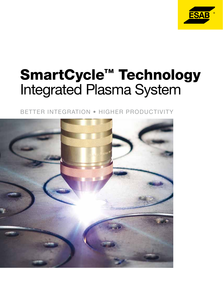

# SmartCycle™ Technology Integrated Plasma System

better integration • HIGHER PRODUCTIVITY

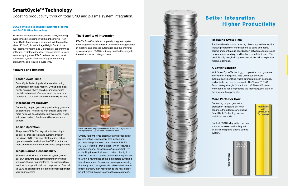SmartCycle improves plasma cutting productivity by eliminating unnecessary tool motion and process delays between cuts. It uses E SAB's P B-M B-1 Plasma Torch Station, which features a position encoder for accurate Z-axis control. By controlling the vertical torch position directly from the C NC, the torch can be positioned at high speed to within a few inches of the plate before switching to a slower speed for more accurate plate sensing. For many cuts, the system also allows the torch to retract partially, then reposition to the next pierce height without having to sense the plate surface.



ESAB first introduced SmartCycle in 2003, reducing cycle times by skipping initial height sensing. Now SmartCycle Technology is extended to integrate the Vision T5 C NC, Smart Voltage Height Control, the m3 Plasma™ system, and Columbus III programming software. By integrating all of these systems to work seamlessly together, E SAB delivers the best, most automated system for enhancing plasma cutting Boosting productivity through total C<br> **ESAB continues to advance Integrated Plasma**<br>
and CNC Cutting Technology<br>
ESAB first introduced SmartCycle in 2003, reducing<br>
cycle times by skipping initial height sensing. Now<br>
Sma

#### ESAB continues to advance Integrated Plasma and CNC Cutting Technology

## SmartCycle ™ Technology

Boosting productivity through total CNC and plasma system integration.

#### • Faster Cycle Time

SmartCycle Technology is all about eliminating unproductive time and motion. By skipping initial height sensing where possible, and eliminating the full torch retract after every cut, the total time required to cut a nest can be dramatically reduced.

#### • Increased Productivity

Depending on part geometry, productivity gains can be significant. Nests filled with smaller parts with more holes will see dramatic improvements. Nests with large part and few holes will also see some benefit.

#### • Easier Operation

The power of ESAB's integration is the ability to control all process tools and systems through the Vision C NC. This level of integration makes operation easier, and allows the C NC to automate more of the system through advanced programming.

#### • Single Source Responsibility

Since we at E SAB make the entire system, write our own software, and stands behind everything we make, there's no need for you to juggle multiple vendors to support individual components. One call to E SAB is all it takes to get professional support for your entire system.

## Reducing Cycle Time

Traditional methods for reducing plasma cycle time require tedious programmer modifications to parts and nests, careful and continuous coordination between operators and programmers, or risky modifications to safety timers. The result is only marginal improvement at the risk of expensive machine damage.



ESAB's PB-MB-1 High Speed Plasma Station for straight plasma cutting with the PT-36 Precision Plasmarc™ torch.

Depending on part geometry, production rate (parts per hour) can more than double when using SmartCycle Technology versus traditional methods.

Contact E SAB today to find out how you can increase productivity with an E SAB integrated plasma cutting system.



**Production** with

Parts Per Hour

#### The Benefits of Integration

ESAB's SmartCycle is a completely integrated system technology exclusive to E SAB. As the technology leader in machine and process automation and the only total system supplier, E SAB is uniquely qualified to integrate the entire plasma cutting process.

## A Better Solution

With SmartCycle Technology, no operator or programmer intervention is required. The Columbus software automatically identifies where optimization can be made, and adjusts the nest as required. The Vision T5 C NC, Smart Voltage Height Control, and m3 Plasma™ system work hand-in-hand to produce the highest quality parts in the shortest time possible.

#### Features and Benefits

#### More Parts Per Hour

# Better Integration Higher Productivity